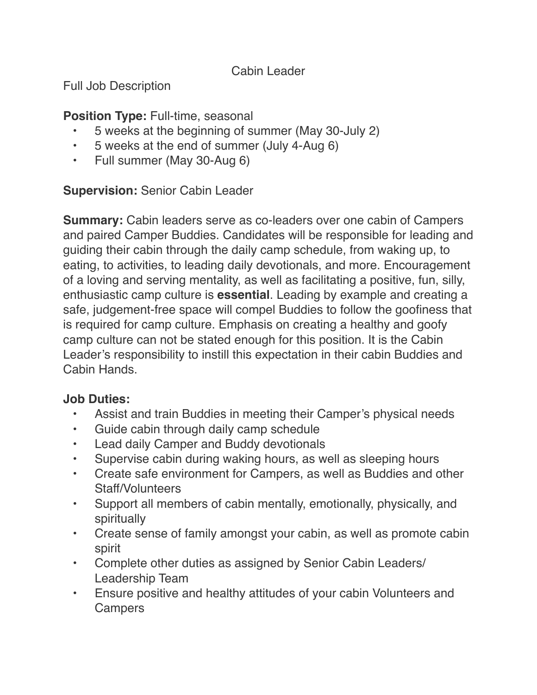#### Cabin Leader

Full Job Description

#### **Position Type:** Full-time, seasonal

- 5 weeks at the beginning of summer (May 30-July 2)
- 5 weeks at the end of summer (July 4-Aug 6)
- Full summer (May 30-Aug 6)

### **Supervision:** Senior Cabin Leader

**Summary:** Cabin leaders serve as co-leaders over one cabin of Campers and paired Camper Buddies. Candidates will be responsible for leading and guiding their cabin through the daily camp schedule, from waking up, to eating, to activities, to leading daily devotionals, and more. Encouragement of a loving and serving mentality, as well as facilitating a positive, fun, silly, enthusiastic camp culture is **essential**. Leading by example and creating a safe, judgement-free space will compel Buddies to follow the goofiness that is required for camp culture. Emphasis on creating a healthy and goofy camp culture can not be stated enough for this position. It is the Cabin Leader's responsibility to instill this expectation in their cabin Buddies and Cabin Hands.

### **Job Duties:**

- Assist and train Buddies in meeting their Camper's physical needs
- Guide cabin through daily camp schedule
- Lead daily Camper and Buddy devotionals
- Supervise cabin during waking hours, as well as sleeping hours
- Create safe environment for Campers, as well as Buddies and other Staff/Volunteers
- Support all members of cabin mentally, emotionally, physically, and spiritually
- Create sense of family amongst your cabin, as well as promote cabin spirit
- Complete other duties as assigned by Senior Cabin Leaders/ Leadership Team
- Ensure positive and healthy attitudes of your cabin Volunteers and **Campers**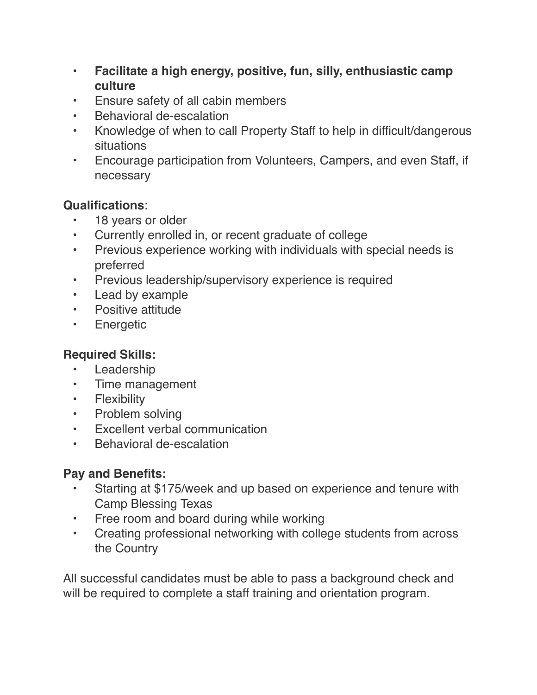- **Facilitate a high energy, positive, fun, silly, enthusiastic camp culture**
- Ensure safety of all cabin members
- Behavioral de-escalation
- Knowledge of when to call Property Staff to help in difficult/dangerous situations
- Encourage participation from Volunteers, Campers, and even Staff, if necessary

### **Qualifications**:

- 18 years or older
- Currently enrolled in, or recent graduate of college
- Previous experience working with individuals with special needs is preferred
- Previous leadership/supervisory experience is required
- Lead by example
- Positive attitude
- Energetic

### **Required Skills:**

- Leadership
- Time management
- Flexibility
- Problem solving
- Excellent verbal communication
- Behavioral de-escalation

## **Pay and Benefits:**

- Starting at \$175/week and up based on experience and tenure with Camp Blessing Texas
- Free room and board during while working
- Creating professional networking with college students from across the Country

All successful candidates must be able to pass a background check and will be required to complete a staff training and orientation program.